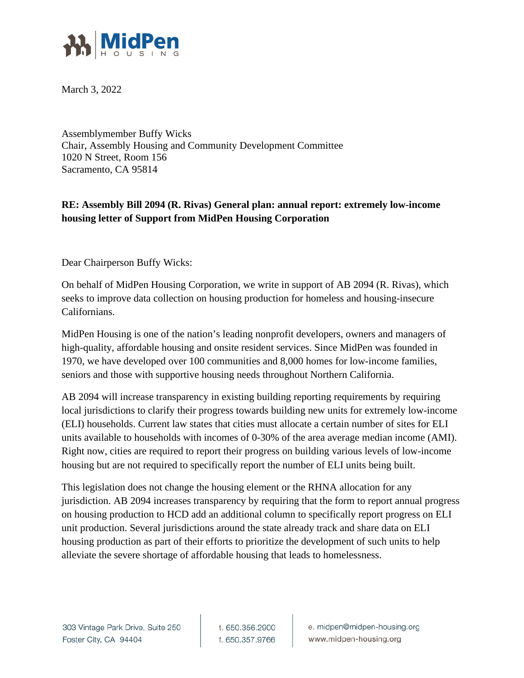

March 3, 2022

Assemblymember Buffy Wicks Chair, Assembly Housing and Community Development Committee 1020 N Street, Room 156 Sacramento, CA 95814

## **RE: Assembly Bill 2094 (R. Rivas) General plan: annual report: extremely low-income housing letter of Support from MidPen Housing Corporation**

Dear Chairperson Buffy Wicks:

On behalf of MidPen Housing Corporation, we write in support of AB 2094 (R. Rivas), which seeks to improve data collection on housing production for homeless and housing-insecure Californians.

MidPen Housing is one of the nation's leading nonprofit developers, owners and managers of high-quality, affordable housing and onsite resident services. Since MidPen was founded in 1970, we have developed over 100 communities and 8,000 homes for low-income families, seniors and those with supportive housing needs throughout Northern California.

AB 2094 will increase transparency in existing building reporting requirements by requiring local jurisdictions to clarify their progress towards building new units for extremely low-income (ELI) households. Current law states that cities must allocate a certain number of sites for ELI units available to households with incomes of 0-30% of the area average median income (AMI). Right now, cities are required to report their progress on building various levels of low-income housing but are not required to specifically report the number of ELI units being built.

This legislation does not change the housing element or the RHNA allocation for any jurisdiction. AB 2094 increases transparency by requiring that the form to report annual progress on housing production to HCD add an additional column to specifically report progress on ELI unit production. Several jurisdictions around the state already track and share data on ELI housing production as part of their efforts to prioritize the development of such units to help alleviate the severe shortage of affordable housing that leads to homelessness.